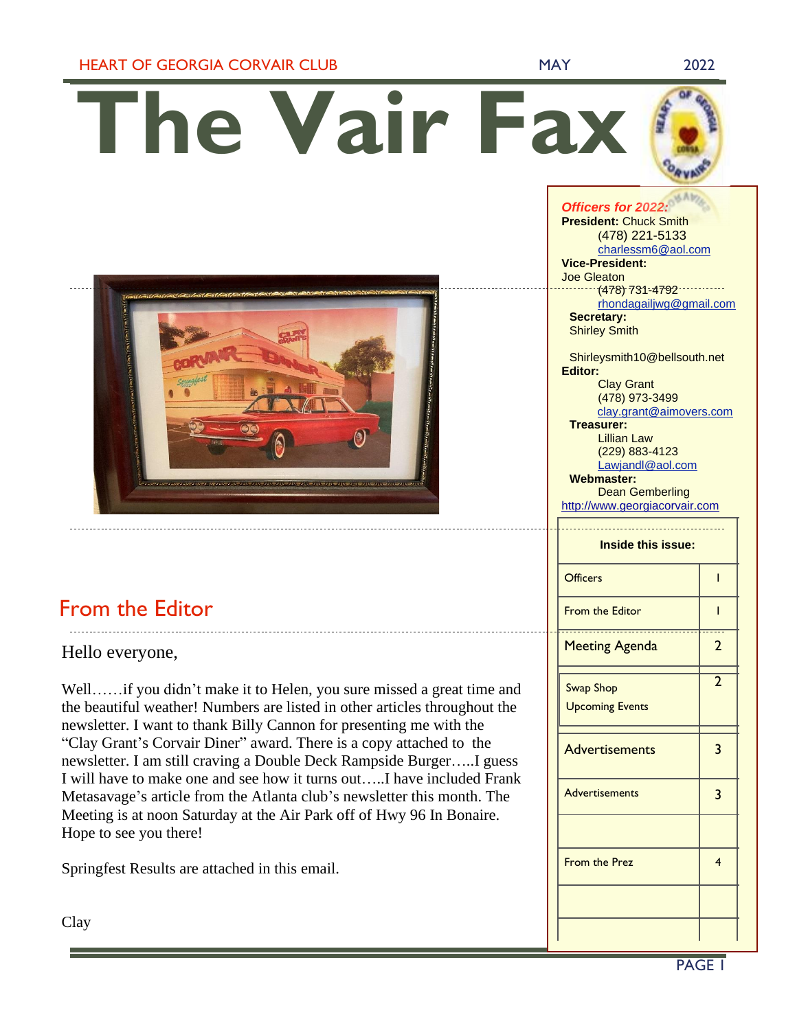HEART OF GEORGIA CORVAIR CLUB MAY 2022

*Officers for 2022:*

**The Vair Fax**



## From the Editor

Hello everyone,

Well……if you didn't make it to Helen, you sure missed a great time and the beautiful weather! Numbers are listed in other articles throughout the newsletter. I want to thank Billy Cannon for presenting me with the "Clay Grant's Corvair Diner" award. There is a copy attached to the newsletter. I am still craving a Double Deck Rampside Burger…..I guess I will have to make one and see how it turns out…..I have included Frank Metasavage's article from the Atlanta club's newsletter this month. The Meeting is at noon Saturday at the Air Park off of Hwy 96 In Bonaire. Hope to see you there!

Springfest Results are attached in this email.

Clay

|                           | <b>President: Chuck Smith</b>                |                |  |
|---------------------------|----------------------------------------------|----------------|--|
|                           | (478) 221-5133                               |                |  |
|                           | charlessm6@aol.com                           |                |  |
|                           | <b>Vice-President:</b>                       |                |  |
|                           | <b>Joe Gleaton</b>                           |                |  |
|                           | $(478) 731 - 4792$                           |                |  |
|                           | rhondagailjwg@gmail.com<br><b>Secretary:</b> |                |  |
|                           | <b>Shirley Smith</b>                         |                |  |
|                           |                                              |                |  |
|                           | Shirleysmith10@bellsouth.net                 |                |  |
|                           | <b>Editor:</b>                               |                |  |
|                           | <b>Clay Grant</b>                            |                |  |
|                           | (478) 973-3499                               |                |  |
|                           | clay.grant@aimovers.com                      |                |  |
|                           | <b>Treasurer:</b>                            |                |  |
|                           | Lillian Law                                  |                |  |
|                           | (229) 883-4123                               |                |  |
|                           | Lawjandl@aol.com<br><b>Webmaster:</b>        |                |  |
|                           |                                              |                |  |
|                           | <b>Dean Gemberling</b>                       |                |  |
|                           | http://www.georgiacorvair.com                |                |  |
|                           |                                              |                |  |
| <b>Inside this issue:</b> |                                              |                |  |
|                           |                                              |                |  |
|                           | Officers                                     |                |  |
|                           |                                              | ı              |  |
|                           |                                              |                |  |
|                           | <b>From the Editor</b>                       | ı              |  |
|                           |                                              |                |  |
|                           | <b>Meeting Agenda</b>                        | 2              |  |
|                           |                                              |                |  |
|                           |                                              | $\mathfrak{D}$ |  |
|                           | <b>Swap Shop</b>                             |                |  |
|                           | <b>Upcoming Events</b>                       |                |  |
|                           |                                              |                |  |
|                           |                                              |                |  |
|                           | <b>Advertisements</b>                        | 3              |  |
|                           |                                              |                |  |
|                           |                                              |                |  |
|                           | <b>Advertisements</b>                        | 3              |  |
|                           |                                              |                |  |
|                           |                                              |                |  |
|                           |                                              |                |  |
|                           |                                              |                |  |
|                           | <b>From the Prez</b>                         | 4              |  |
|                           |                                              |                |  |
|                           |                                              |                |  |
|                           |                                              |                |  |
|                           |                                              |                |  |
|                           |                                              |                |  |
|                           |                                              |                |  |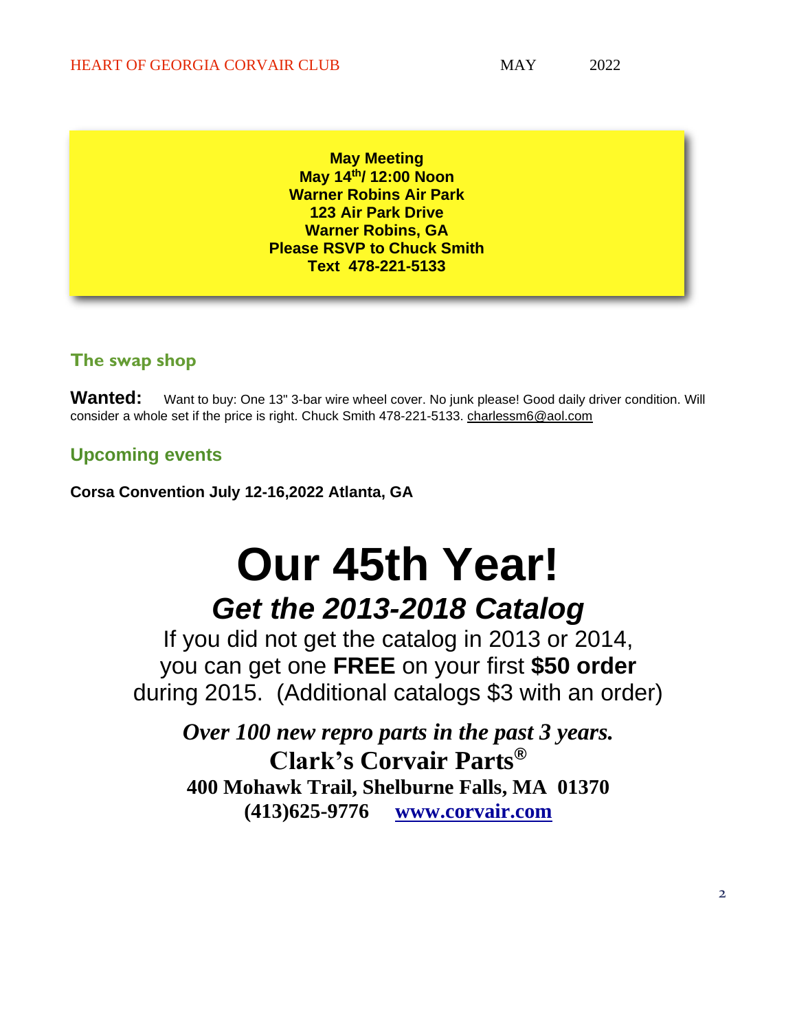**May Meeting May 14th/ 12:00 Noon Warner Robins Air Park 123 Air Park Drive Warner Robins, GA Please RSVP to Chuck Smith Text 478-221-5133**

### **The swap shop**

Wanted: Want to buy: One 13" 3-bar wire wheel cover. No junk please! Good daily driver condition. Will consider a whole set if the price is right. Chuck Smith 478-221-5133. [charlessm6@aol.com](mailto:charlessm6@aol.com)

### **Upcoming events**

**Corsa Convention July 12-16,2022 Atlanta, GA**

# **Our 45th Year!** *Get the 2013-2018 Catalog*

If you did not get the catalog in 2013 or 2014, you can get one **FREE** on your first **\$50 order** during 2015. (Additional catalogs \$3 with an order)

*Over 100 new repro parts in the past 3 years.* **Clark's Corvair Parts® 400 Mohawk Trail, Shelburne Falls, MA 01370 (413)625-9776 [www.corvair.com](http://www.corvair.com/)**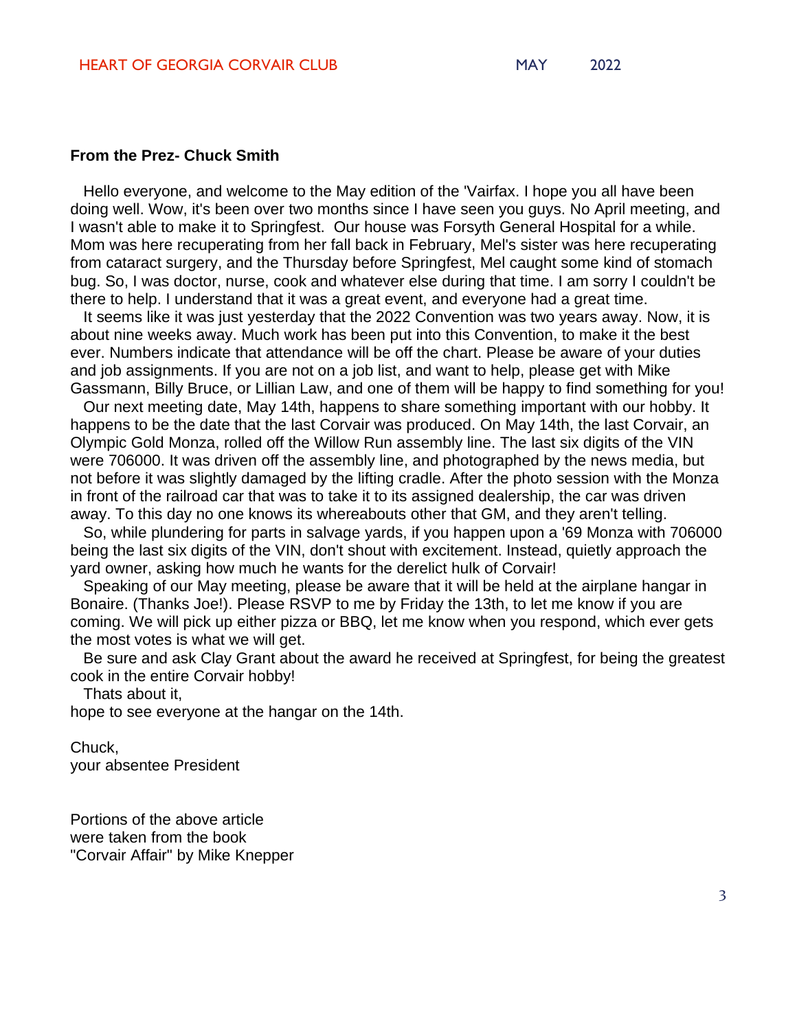#### **From the Prez- Chuck Smith**

Hello everyone, and welcome to the May edition of the 'Vairfax. I hope you all have been doing well. Wow, it's been over two months since I have seen you guys. No April meeting, and I wasn't able to make it to Springfest. Our house was Forsyth General Hospital for a while. Mom was here recuperating from her fall back in February, Mel's sister was here recuperating from cataract surgery, and the Thursday before Springfest, Mel caught some kind of stomach bug. So, I was doctor, nurse, cook and whatever else during that time. I am sorry I couldn't be there to help. I understand that it was a great event, and everyone had a great time.

It seems like it was just yesterday that the 2022 Convention was two years away. Now, it is about nine weeks away. Much work has been put into this Convention, to make it the best ever. Numbers indicate that attendance will be off the chart. Please be aware of your duties and job assignments. If you are not on a job list, and want to help, please get with Mike Gassmann, Billy Bruce, or Lillian Law, and one of them will be happy to find something for you!

Our next meeting date, May 14th, happens to share something important with our hobby. It happens to be the date that the last Corvair was produced. On May 14th, the last Corvair, an Olympic Gold Monza, rolled off the Willow Run assembly line. The last six digits of the VIN were 706000. It was driven off the assembly line, and photographed by the news media, but not before it was slightly damaged by the lifting cradle. After the photo session with the Monza in front of the railroad car that was to take it to its assigned dealership, the car was driven away. To this day no one knows its whereabouts other that GM, and they aren't telling.

So, while plundering for parts in salvage yards, if you happen upon a '69 Monza with 706000 being the last six digits of the VIN, don't shout with excitement. Instead, quietly approach the yard owner, asking how much he wants for the derelict hulk of Corvair!

Speaking of our May meeting, please be aware that it will be held at the airplane hangar in Bonaire. (Thanks Joe!). Please RSVP to me by Friday the 13th, to let me know if you are coming. We will pick up either pizza or BBQ, let me know when you respond, which ever gets the most votes is what we will get.

Be sure and ask Clay Grant about the award he received at Springfest, for being the greatest cook in the entire Corvair hobby!

Thats about it,

hope to see everyone at the hangar on the 14th.

Chuck, your absentee President

Portions of the above article were taken from the book "Corvair Affair" by Mike Knepper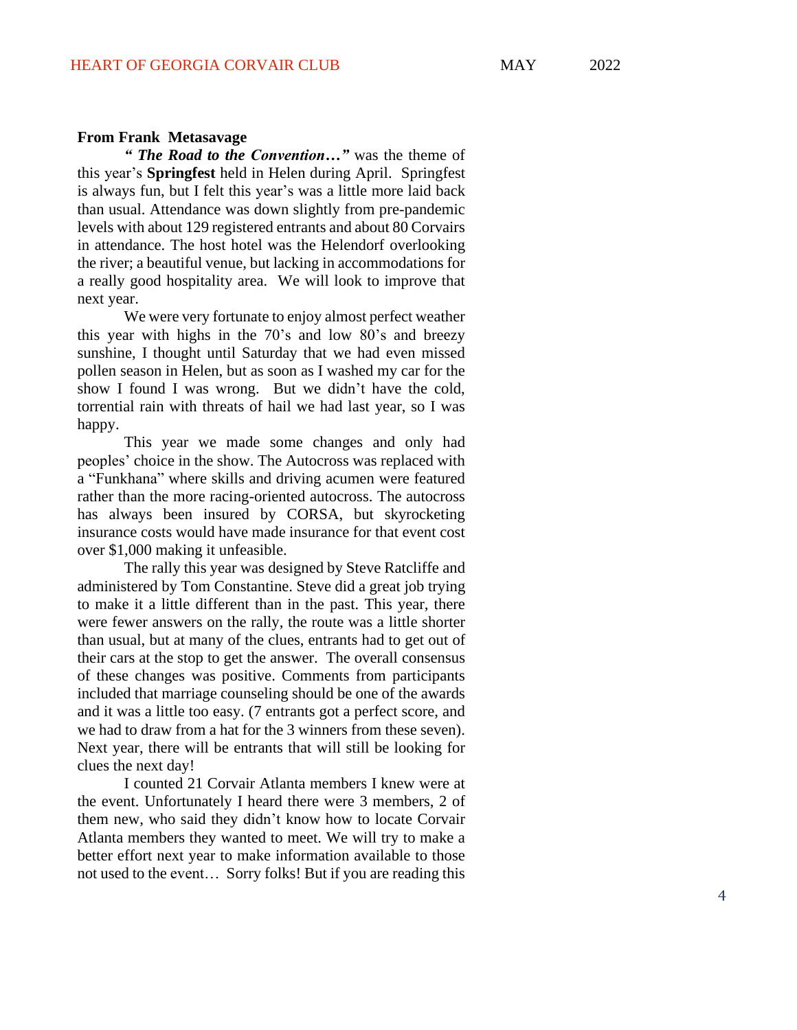#### **From Frank Metasavage**

*" The Road to the Convention…"* was the theme of this year's **Springfest** held in Helen during April. Springfest is always fun, but I felt this year's was a little more laid back than usual. Attendance was down slightly from pre -pandemic levels with about 129 registered entrant s and about 80 Corvairs in attendance. The host hotel was the Helendorf overlooking the river; a beautiful venue, but lacking in accommodations for a really good hospitality area. We will look to improve that next year.

We were very fortunate to enjoy almost perfect weather this year with highs in the 70's and low 80's and breezy sunshine, I thought until Saturday that we had even missed pollen season in Helen, but as soon as I washed my car for the show I found I was wrong. But we didn't have the cold, torrential rain with threats of hail we had last year, so I was happy .

This year we made some changes and only had peoples' choice in the show. The Autocross was replaced with a "Funkhana" where skills and driving acumen were featured rather than the more racing -oriented autocross. The autocross has always been insured by CORSA, but skyrocketing insurance costs would have made insurance for that event cost over \$1,000 making it unfeasible.

The rally this year was designed by Steve Ratcliffe and administered by Tom Constantine. Steve did a great job trying to make it a little different than in the past. This year, there were fewer answers on the rally, the route was a little shorter than usual, but at many of the clues, entrants had to get out of their cars at the stop to get the answer. The overall con sensus of these changes was positive. Comments from participants included that marriage counseling should be one of the awards and it was a little too easy. (7 entrants got a perfect score, and we had to draw from a hat for the 3 winners from these seven). Next year, there will be entrants that will still be looking for clues the next day!

I counted 21 Corvair Atlanta members I knew were at the event. Unfortunately I heard ther e were 3 members, 2 of them new, who said they didn't know how to locate Corvair Atlanta members they wanted to meet. We will try to make a better effort next year to make information available to those not used to the event… Sorry folks! But if you are reading this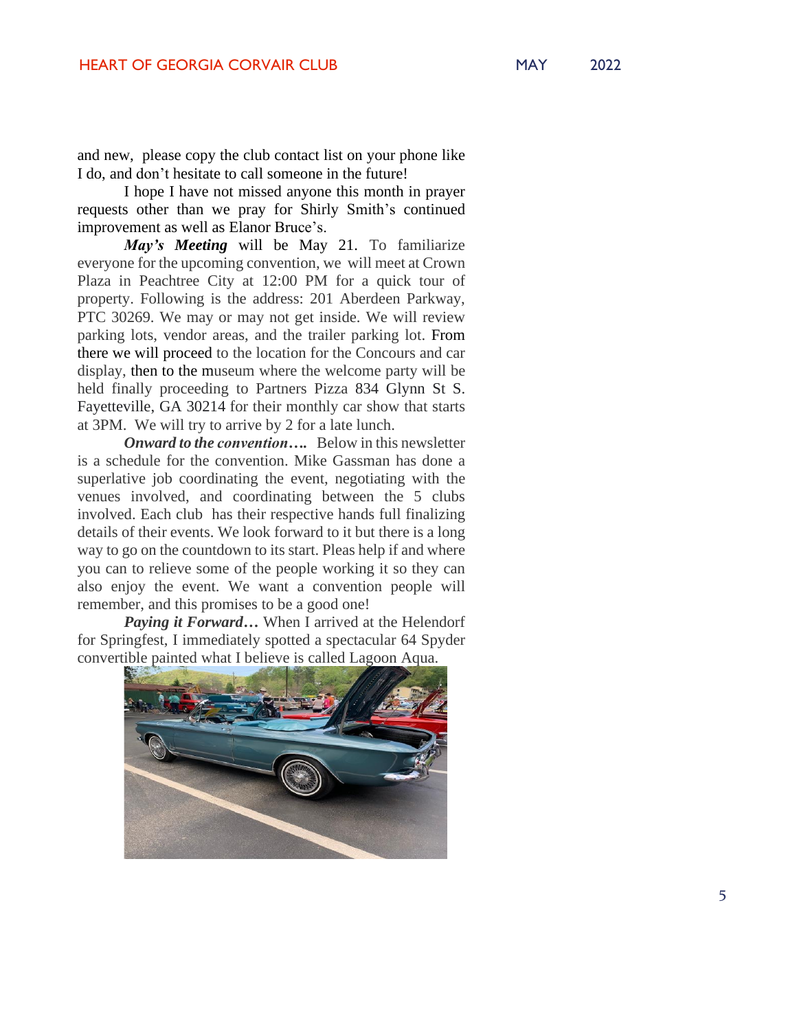and new, please copy the club contact list on your phone like I do, and don't hesitate to call someone in the future!

I hope I have not missed anyone this month in prayer requests other than we pray for Shirly Smith's continued improvement as well as Elanor Bruce's.

*May's Meeting* will be May 21. To familiarize everyone for the upcoming convention, we will meet at Crown Plaza in Peachtree City at 12:00 PM for a quick tour of property. Following is the address: 201 Aberdeen Parkway, PTC 30269. We may or may not get inside. We will review parking lots, vendor areas, and the trailer parking lot. From there we will proceed to the location for the Concours and car display, then to the museum where the welcome party will be held finally proceeding to Partners Pizza 834 Glynn St S. Fayetteville, GA 30214 for their monthly car show that starts at 3PM. We will try to arrive by 2 for a late lunch.

*Onward to the convention….* Below in this newsletter is a schedule for the convention. Mike Gassman has done a superlative job coordinating the event, negotiating with the venues involved, and coordinating between the 5 clubs involved. Each club has their respective hands full finalizing details of their events. We look forward to it but there is a long way to go on the countdown to its start. Pleas help if and where you can to relieve some of the people working it so they can also enjoy the event. We want a convention people will remember, and this promises to be a good one!

*Paying it Forward…* When I arrived at the Helendorf for Springfest, I immediately spotted a spectacular 64 Spyder convertible painted what I believe is called Lagoon Aqua.

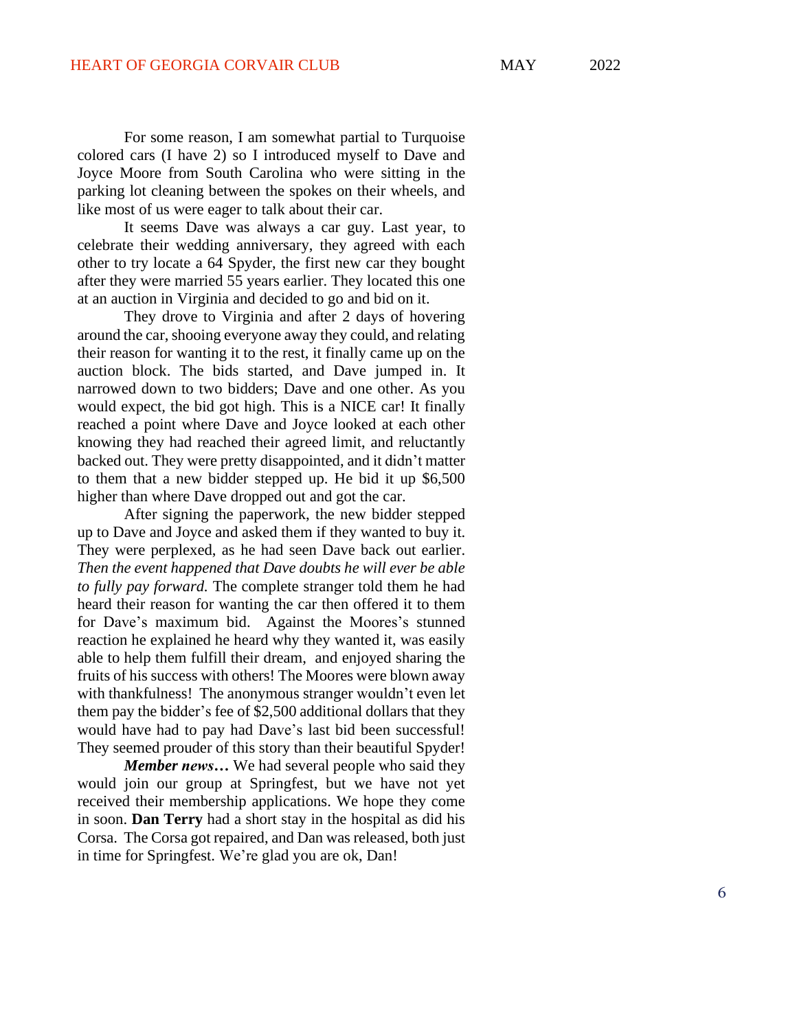For some reason, I am somewhat partial to Turquoise colored cars (I have 2) so I introduced myself to Dave and Joyce Moore from South Carolina who were sitting in the parking lot cleaning between the spokes on their wheels , and like most of us were eager to talk about their car.

It seems Dave was always a car guy. Last year, to celebrate their wedding anniversary, they agreed with each other to try locate a 64 Spyder, the first new car they bought after they were married 55 years earlier. They located this one at an auction in Virginia and decided to go and bid on it.

They drove to Virginia and after 2 days of hovering around the car, shooing everyone away they could, and relating their reason for wanting it to the rest , i t finally came up on the auction block. The bids started, and Dave jumped in. I t narrowed down to two bidders; Dave and one other. As you would expect, the bid got high. This is a NICE car! It finally reached a point where Dave and Joyce looked at each other knowing they had reached their agreed limit , and reluctantly backed out. They were pretty disappointed , and it didn't matter to them that a new bidder stepped up. He bid it up \$6,500 higher than where Dave dropped out and got the car.

After signing the paperwork, the new bidder stepped up to Dave and Joyce and asked them if they wanted to buy it. They were perplexed, as he had seen Dave back out earlier. *Then the event happened that Dave doubts he will ever be able to fully pay forward.* The complete stranger told them he had heard their reason for wanting the car then offered it to them for Dave's maximum bid. Against the Moores's stunned reaction he explained he heard why they wanted it, was easily able to help them fulfil l their dream, and enjoyed sharing the fruits of his success with others! The Moores were blown away with thankfulness! The anonymous stranger wouldn't even let them pay the bidder's fee of \$2,500 additional dollars that they would have had to pay had Dave's last bid been successful! They seemed prouder of this story than their beautiful Spyder!

*Member news…* We had several people who said they would join our group at Springfest, but we have not yet received their membership applications. We hope they come in soon. **Dan Terry** had a short stay in the hospital as did his Corsa. The Corsa got repaired, and Dan was released, both just in time for Springfest. We're gla d you are ok, Dan!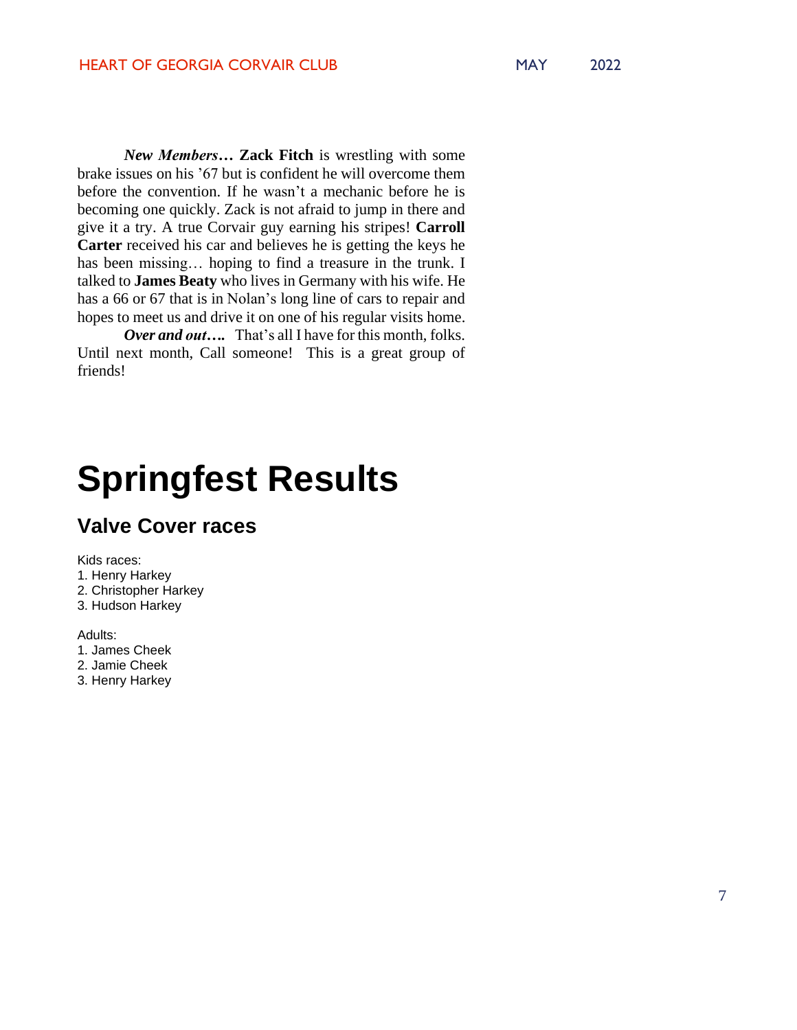*New Members…* **Zack Fitch** is wrestling with some brake issues on his '67 but is confident he will overcome them before the convention. If he wasn't a mechanic before he is becoming one quickly. Zack is not afraid to jump in there and give it a try. A true Corvair guy earning his stripes! **Carroll Carter** received his car and believes he is getting the keys he has been missing... hoping to find a treasure in the trunk. I talked to **James Beaty** who lives in Germany with his wife. He has a 66 or 67 that is in Nolan's long line of cars to repair and hopes to meet us and drive it on one of his regular visits home.

*Over and out….*That's all I have for this month, folks. Until next month, Call someone! This is a great group of friends!

# **Springfest Results**

## **Valve Cover races**

Kids races:

- 1. Henry Harkey
- 2. Christopher Harkey
- 3. Hudson Harkey

Adults:

- 1. James Cheek
- 2. Jamie Cheek
- 3. Henry Harkey